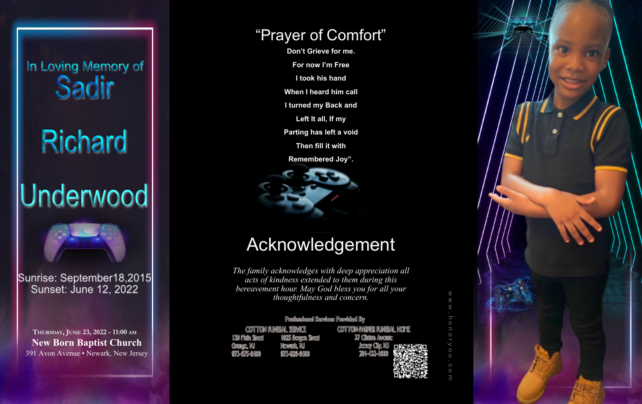# In Loving Memory of Sadir

# Richard

# Underwood



Sunrise: September18,2015 Sunset: June 12, 2022

**THURSDAY, JUNE 23, 2022 - 11:00 AM New Born Baptist Church** 391 Avon Avenue • Newark, New Jersey

## Acknowledgement

*The family acknowledges with deep appreciation all acts of kindness extended to them during this bereavement hour. May God bless you for all your thoughtfulness and concern.*

Professional Services Provided By

CONTITON FUNERAL SERVICE MO25 Renoen Sineel 1.300 Matn Sinceri Mcwenth, MU **Commone, 140 975-675-6400** 975-926-64000

COTTTON+PARKER FUNERAL HOME 37 Citrian Avenue



### "Prayer of Comfort"

**Don't Grieve for me. For now I'm Free I took his hand When I heard him call I turned my Back and Left It all, If my Parting has left a void Then fill it with Remembered Joy".**